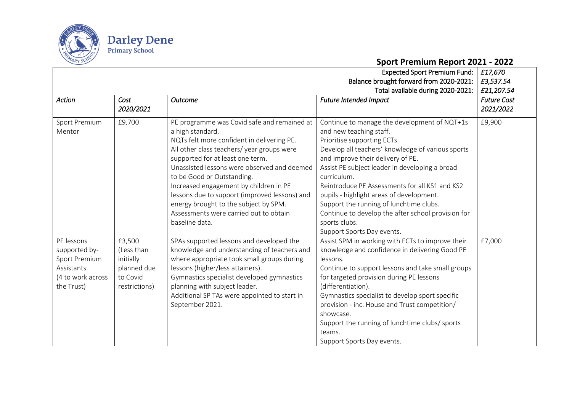

## **Sport Premium Report 2021 - 2022**

| <b>Expected Sport Premium Fund:</b> |               |                                               |                                                    |                    |
|-------------------------------------|---------------|-----------------------------------------------|----------------------------------------------------|--------------------|
|                                     |               |                                               | Balance brought forward from 2020-2021:            | £3,537.54          |
|                                     |               |                                               | Total available during 2020-2021:                  | £21,207.54         |
| Action                              | Cost          | <b>Outcome</b>                                | <b>Future Intended Impact</b>                      | <b>Future Cost</b> |
|                                     | 2020/2021     |                                               |                                                    | 2021/2022          |
| Sport Premium                       | £9,700        | PE programme was Covid safe and remained at   | Continue to manage the development of NQT+1s       | £9,900             |
| Mentor                              |               | a high standard.                              | and new teaching staff.                            |                    |
|                                     |               | NQTs felt more confident in delivering PE.    | Prioritise supporting ECTs.                        |                    |
|                                     |               | All other class teachers/ year groups were    | Develop all teachers' knowledge of various sports  |                    |
|                                     |               | supported for at least one term.              | and improve their delivery of PE.                  |                    |
|                                     |               | Unassisted lessons were observed and deemed   | Assist PE subject leader in developing a broad     |                    |
|                                     |               | to be Good or Outstanding.                    | curriculum.                                        |                    |
|                                     |               | Increased engagement by children in PE        | Reintroduce PE Assessments for all KS1 and KS2     |                    |
|                                     |               | lessons due to support (improved lessons) and | pupils - highlight areas of development.           |                    |
|                                     |               | energy brought to the subject by SPM.         | Support the running of lunchtime clubs.            |                    |
|                                     |               | Assessments were carried out to obtain        | Continue to develop the after school provision for |                    |
|                                     |               | baseline data.                                | sports clubs.                                      |                    |
|                                     |               |                                               | Support Sports Day events.                         |                    |
| PE lessons                          | £3,500        | SPAs supported lessons and developed the      | Assist SPM in working with ECTs to improve their   | £7,000             |
| supported by-                       | (Less than    | knowledge and understanding of teachers and   | knowledge and confidence in delivering Good PE     |                    |
| Sport Premium                       | initially     | where appropriate took small groups during    | lessons.                                           |                    |
| Assistants                          | planned due   | lessons (higher/less attainers).              | Continue to support lessons and take small groups  |                    |
| (4 to work across                   | to Covid      | Gymnastics specialist developed gymnastics    | for targeted provision during PE lessons           |                    |
| the Trust)                          | restrictions) | planning with subject leader.                 | (differentiation).                                 |                    |
|                                     |               | Additional SP TAs were appointed to start in  | Gymnastics specialist to develop sport specific    |                    |
|                                     |               | September 2021.                               | provision - inc. House and Trust competition/      |                    |
|                                     |               |                                               | showcase.                                          |                    |
|                                     |               |                                               | Support the running of lunchtime clubs/ sports     |                    |
|                                     |               |                                               | teams.                                             |                    |
|                                     |               |                                               | Support Sports Day events.                         |                    |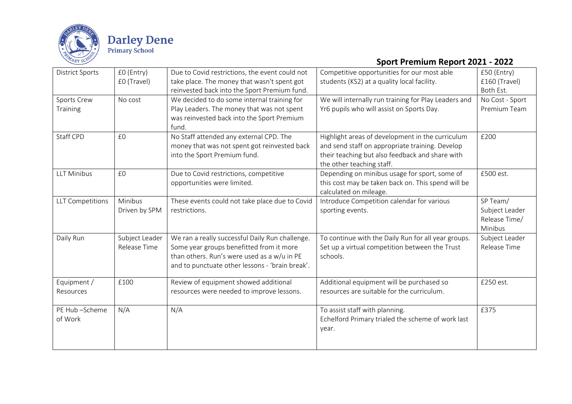

## **Sport Premium Report 2021 - 2022**

| <b>District Sports</b>   | £0 (Entry)<br>£0 (Travel)      | Due to Covid restrictions, the event could not<br>take place. The money that wasn't spent got<br>reinvested back into the Sport Premium fund.                                                 | Competitive opportunities for our most able<br>students (KS2) at a quality local facility.                                                                                          | £50 (Entry)<br>£160 (Travel)<br>Both Est.              |
|--------------------------|--------------------------------|-----------------------------------------------------------------------------------------------------------------------------------------------------------------------------------------------|-------------------------------------------------------------------------------------------------------------------------------------------------------------------------------------|--------------------------------------------------------|
| Sports Crew<br>Training  | No cost                        | We decided to do some internal training for<br>Play Leaders. The money that was not spent<br>was reinvested back into the Sport Premium<br>fund.                                              | We will internally run training for Play Leaders and<br>Yr6 pupils who will assist on Sports Day.                                                                                   | No Cost - Sport<br>Premium Team                        |
| Staff CPD                | £0                             | No Staff attended any external CPD. The<br>money that was not spent got reinvested back<br>into the Sport Premium fund.                                                                       | Highlight areas of development in the curriculum<br>and send staff on appropriate training. Develop<br>their teaching but also feedback and share with<br>the other teaching staff. | £200                                                   |
| <b>LLT Minibus</b>       | £0                             | Due to Covid restrictions, competitive<br>opportunities were limited.                                                                                                                         | Depending on minibus usage for sport, some of<br>this cost may be taken back on. This spend will be<br>calculated on mileage.                                                       | £500 est.                                              |
| <b>LLT Competitions</b>  | Minibus<br>Driven by SPM       | These events could not take place due to Covid<br>restrictions.                                                                                                                               | Introduce Competition calendar for various<br>sporting events.                                                                                                                      | SP Team/<br>Subject Leader<br>Release Time/<br>Minibus |
| Daily Run                | Subject Leader<br>Release Time | We ran a really successful Daily Run challenge.<br>Some year groups benefitted from it more<br>than others. Run's were used as a w/u in PE<br>and to punctuate other lessons - 'brain break'. | To continue with the Daily Run for all year groups.<br>Set up a virtual competition between the Trust<br>schools.                                                                   | Subject Leader<br>Release Time                         |
| Equipment /<br>Resources | £100                           | Review of equipment showed additional<br>resources were needed to improve lessons.                                                                                                            | Additional equipment will be purchased so<br>resources are suitable for the curriculum.                                                                                             | £250 est.                                              |
| PE Hub-Scheme<br>of Work | N/A                            | N/A                                                                                                                                                                                           | To assist staff with planning.<br>Echelford Primary trialed the scheme of work last<br>year.                                                                                        | £375                                                   |